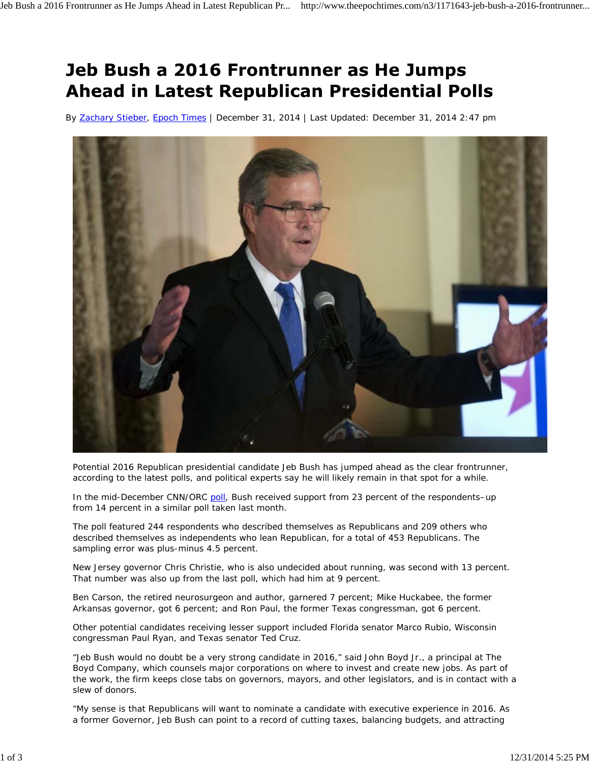## Jeb Bush a 2016 Frontrunner as He Jumps **Ahead in Latest Republican Presidential Polls**

By Zachary Stieber, Epoch Times | December 31, 2014 | Last Updated: December 31, 2014 2:47 pm



Potential 2016 Republican presidential candidate Jeb Bush has jumped ahead as the clear frontrunner, according to the latest polls, and political experts say he will likely remain in that spot for a while.

In the mid-December CNN/ORC poll, Bush received support from 23 percent of the respondents-up from 14 percent in a similar poll taken last month.

The poll featured 244 respondents who described themselves as Republicans and 209 others who described themselves as independents who lean Republican, for a total of 453 Republicans. The sampling error was plus-minus 4.5 percent.

New Jersey governor Chris Christie, who is also undecided about running, was second with 13 percent. That number was also up from the last poll, which had him at 9 percent.

Ben Carson, the retired neurosurgeon and author, garnered 7 percent; Mike Huckabee, the former Arkansas governor, got 6 percent; and Ron Paul, the former Texas congressman, got 6 percent.

Other potential candidates receiving lesser support included Florida senator Marco Rubio, Wisconsin congressman Paul Ryan, and Texas senator Ted Cruz.

"Jeb Bush would no doubt be a very strong candidate in 2016," said John Boyd Jr., a principal at The Boyd Company, which counsels major corporations on where to invest and create new jobs. As part of the work, the firm keeps close tabs on governors, mayors, and other legislators, and is in contact with a slew of donors.

"My sense is that Republicans will want to nominate a candidate with executive experience in 2016. As a former Governor, Jeb Bush can point to a record of cutting taxes, balancing budgets, and attracting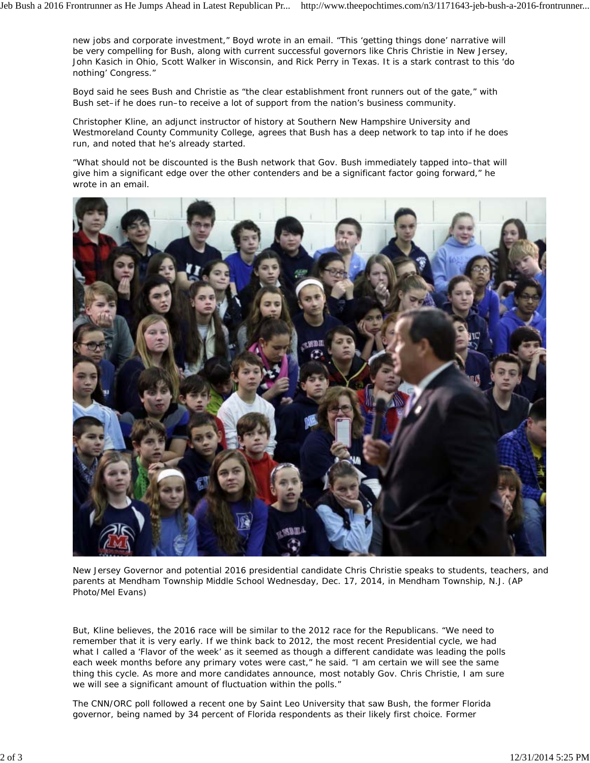new jobs and corporate investment," Boyd wrote in an email. "This 'getting things done' narrative will be very compelling for Bush, along with current successful governors like Chris Christie in New Jersey, John Kasich in Ohio, Scott Walker in Wisconsin, and Rick Perry in Texas. It is a stark contrast to this 'do nothing' Congress."

Boyd said he sees Bush and Christie as "the clear establishment front runners out of the gate," with Bush set–if he does run–to receive a lot of support from the nation's business community.

Christopher Kline, an adjunct instructor of history at Southern New Hampshire University and Westmoreland County Community College, agrees that Bush has a deep network to tap into if he does run, and noted that he's already started.

"What should not be discounted is the Bush network that Gov. Bush immediately tapped into–that will give him a significant edge over the other contenders and be a significant factor going forward," he wrote in an email.



New Jersey Governor and potential 2016 presidential candidate Chris Christie speaks to students, teachers, and parents at Mendham Township Middle School Wednesday, Dec. 17, 2014, in Mendham Township, N.J. (AP Photo/Mel Evans)

But, Kline believes, the 2016 race will be similar to the 2012 race for the Republicans. "We need to remember that it is very early. If we think back to 2012, the most recent Presidential cycle, we had what I called a 'Flavor of the week' as it seemed as though a different candidate was leading the polls each week months before any primary votes were cast," he said. "I am certain we will see the same thing this cycle. As more and more candidates announce, most notably Gov. Chris Christie, I am sure we will see a significant amount of fluctuation within the polls."

The CNN/ORC poll followed a recent one by Saint Leo University that saw Bush, the former Florida governor, being named by 34 percent of Florida respondents as their likely first choice. Former